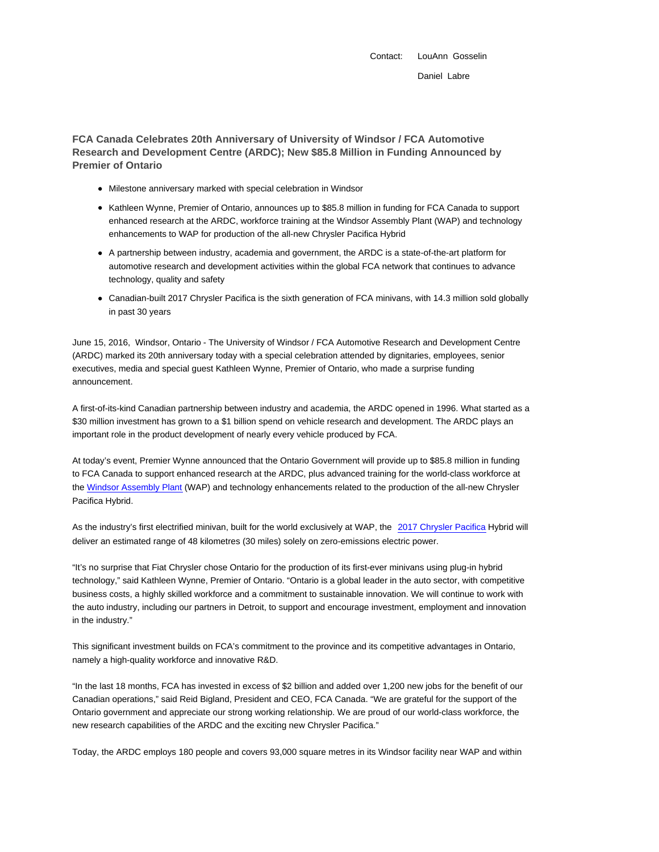Contact: LouAnn Gosselin Daniel Labre

**FCA Canada Celebrates 20th Anniversary of University of Windsor / FCA Automotive Research and Development Centre (ARDC); New \$85.8 Million in Funding Announced by Premier of Ontario**

- Milestone anniversary marked with special celebration in Windsor
- Kathleen Wynne, Premier of Ontario, announces up to \$85.8 million in funding for FCA Canada to support enhanced research at the ARDC, workforce training at the Windsor Assembly Plant (WAP) and technology enhancements to WAP for production of the all-new Chrysler Pacifica Hybrid
- A partnership between industry, academia and government, the ARDC is a state-of-the-art platform for automotive research and development activities within the global FCA network that continues to advance technology, quality and safety
- Canadian-built 2017 Chrysler Pacifica is the sixth generation of FCA minivans, with 14.3 million sold globally in past 30 years

June 15, 2016, Windsor, Ontario - The University of Windsor / FCA Automotive Research and Development Centre (ARDC) marked its 20th anniversary today with a special celebration attended by dignitaries, employees, senior executives, media and special guest Kathleen Wynne, Premier of Ontario, who made a surprise funding announcement.

A first-of-its-kind Canadian partnership between industry and academia, the ARDC opened in 1996. What started as a \$30 million investment has grown to a \$1 billion spend on vehicle research and development. The ARDC plays an important role in the product development of nearly every vehicle produced by FCA.

At today's event, Premier Wynne announced that the Ontario Government will provide up to \$85.8 million in funding to FCA Canada to support enhanced research at the ARDC, plus advanced training for the world-class workforce at the Windsor Assembly Plant (WAP) and technology enhancements related to the production of the all-new Chrysler Pacifica Hybrid.

As the industry's first electrified minivan, built for the world exclusively at WAP, the 2017 Chrysler Pacifica Hybrid will deliver an estimated range of 48 kilometres (30 miles) solely on zero-emissions electric power.

"It's no surprise that Fiat Chrysler chose Ontario for the production of its first-ever minivans using plug-in hybrid technology," said Kathleen Wynne, Premier of Ontario. "Ontario is a global leader in the auto sector, with competitive business costs, a highly skilled workforce and a commitment to sustainable innovation. We will continue to work with the auto industry, including our partners in Detroit, to support and encourage investment, employment and innovation in the industry."

This significant investment builds on FCA's commitment to the province and its competitive advantages in Ontario, namely a high-quality workforce and innovative R&D.

"In the last 18 months, FCA has invested in excess of \$2 billion and added over 1,200 new jobs for the benefit of our Canadian operations," said Reid Bigland, President and CEO, FCA Canada. "We are grateful for the support of the Ontario government and appreciate our strong working relationship. We are proud of our world-class workforce, the new research capabilities of the ARDC and the exciting new Chrysler Pacifica."

Today, the ARDC employs 180 people and covers 93,000 square metres in its Windsor facility near WAP and within